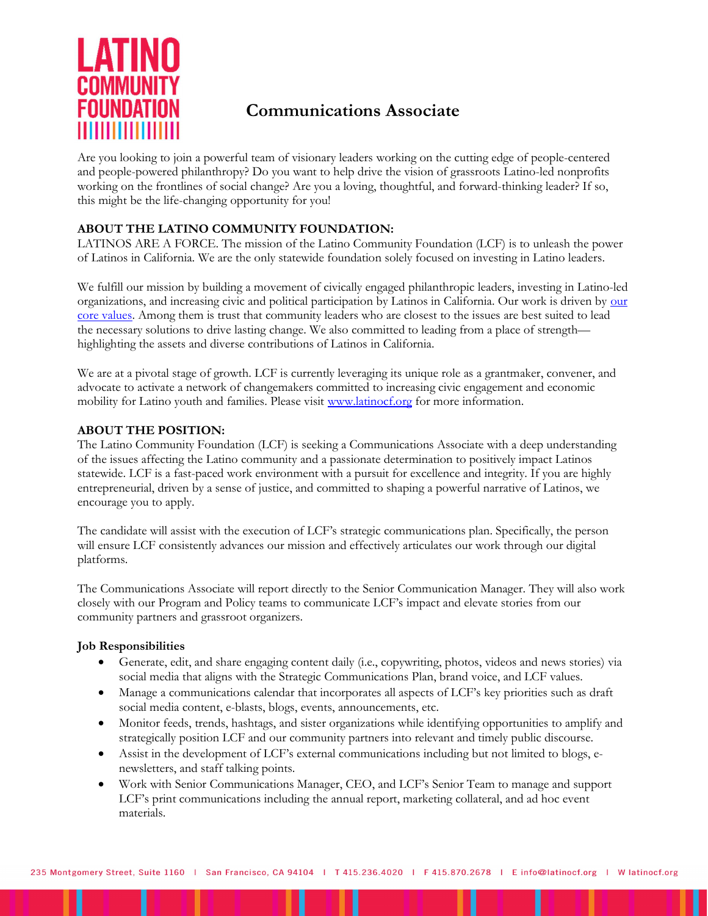

# Communications Associate

Are you looking to join a powerful team of visionary leaders working on the cutting edge of people-centered and people-powered philanthropy? Do you want to help drive the vision of grassroots Latino-led nonprofits working on the frontlines of social change? Are you a loving, thoughtful, and forward-thinking leader? If so, this might be the life-changing opportunity for you!

## ABOUT THE LATINO COMMUNITY FOUNDATION:

LATINOS ARE A FORCE. The mission of the Latino Community Foundation (LCF) is to unleash the power of Latinos in California. We are the only statewide foundation solely focused on investing in Latino leaders.

We fulfill our mission by building a movement of civically engaged philanthropic leaders, investing in Latino-led organizations, and increasing civic and political participation by Latinos in California. Our work is driven by our core values. Among them is trust that community leaders who are closest to the issues are best suited to lead the necessary solutions to drive lasting change. We also committed to leading from a place of strength highlighting the assets and diverse contributions of Latinos in California.

We are at a pivotal stage of growth. LCF is currently leveraging its unique role as a grantmaker, convener, and advocate to activate a network of changemakers committed to increasing civic engagement and economic mobility for Latino youth and families. Please visit www.latinocf.org for more information.

## ABOUT THE POSITION:

The Latino Community Foundation (LCF) is seeking a Communications Associate with a deep understanding of the issues affecting the Latino community and a passionate determination to positively impact Latinos statewide. LCF is a fast-paced work environment with a pursuit for excellence and integrity. If you are highly entrepreneurial, driven by a sense of justice, and committed to shaping a powerful narrative of Latinos, we encourage you to apply.

The candidate will assist with the execution of LCF's strategic communications plan. Specifically, the person will ensure LCF consistently advances our mission and effectively articulates our work through our digital platforms.

The Communications Associate will report directly to the Senior Communication Manager. They will also work closely with our Program and Policy teams to communicate LCF's impact and elevate stories from our community partners and grassroot organizers.

### Job Responsibilities

- Generate, edit, and share engaging content daily (i.e., copywriting, photos, videos and news stories) via social media that aligns with the Strategic Communications Plan, brand voice, and LCF values.
- Manage a communications calendar that incorporates all aspects of LCF's key priorities such as draft social media content, e-blasts, blogs, events, announcements, etc.
- Monitor feeds, trends, hashtags, and sister organizations while identifying opportunities to amplify and strategically position LCF and our community partners into relevant and timely public discourse.
- Assist in the development of LCF's external communications including but not limited to blogs, enewsletters, and staff talking points.
- Work with Senior Communications Manager, CEO, and LCF's Senior Team to manage and support LCF's print communications including the annual report, marketing collateral, and ad hoc event materials.